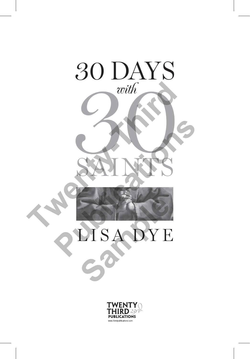

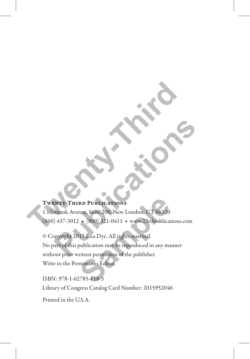## Twenty-Third Publications

1 Montauk Avenue, Suite 200, New London, CT 06320 (860) 437-3012 ◆ (800) 321-0411 ◆ www.23rdpublications.com **TWENTY-THIRD PUBLICATIONS**<br>
I Montauk Avenue, Suite 200, New London, CT 06320<br>
860) 437-3012 • (800) 321-0411 • www.23rdpublications.c

© Copyright 2015 Lisa Dye. All rights reserved. No part of this publication may be reproduced in any manner without prior written permission of the publisher. Write to the Permissions Editor. **PUBLICATIONS**<br>
PUBLICATIONS<br>
PUBLICATIONS<br>
PUBLICATIONS<br>
(1937-3012 • (800) 321-0411 • www.23rdpublications.com<br>
Publication may be reproduced in any manner<br>
out prior written permission of the publisher. **RD PUBLICATIONS**<br>
NUE Suite 200, New London, CT 06320<br>
15 Lisa Dye. All rights reserved.<br>
15 Lisa Dye. All rights reserved.<br>
publication may be reproduced in any matrition permission of the publisher.<br>
15 Suite Produced i

ISBN: 978-1-62785-118-3 Library of Congress Catalog Card Number: 2015952046

Printed in the U.S.A.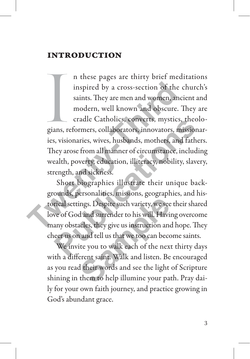# introduction

ana de la provincia de la provincia de la provincia de la provincia de la provincia de la provincia de la provincia de la provincia de la provincia de la provincia de la provincia de la provincia de la provincia de la prov n these pages are thirty brief meditations inspired by a cross-section of the church's saints. They are men and women, ancient and modern, well known and obscure. They are cradle Catholics, converts, mystics, theologians, reformers, collaborators, innovators, missionaries, visionaries, wives, husbands, mothers, and fathers. They arose from all manner of circumstance, including wealth, poverty, education, illiteracy, nobility, slavery, strength, and sickness. inspired by a cross-section of the c<br>saints. They are men and women, anci<br>modern, well known and obscure. T<br>cradle Catholics, converts, mystics,<br>gians, reformers, collaborators, innovators, mi<br>ies, visionaries, wives, husb

Short biographies illustrate their unique backgrounds, personalities, missions, geographies, and historical settings. Despite such variety, we see their shared love of God and surrender to his will. Having overcome many obstacles, they give us instruction and hope. They cheer us on and tell us that we too can become saints. cradic Catholics, converts, mystics, theology,<br>ans, reformers, collaborators, innovators, missionals,<br>s, visionaries, wives, husbands, mothers, and father<br>ney arose from all manner of circumstance, includin<br>ealth, poverty, ings. Despite such variety, we see<br>d and surrender to his will. Havi<br>acles, they give us instruction and<br>and tell us that we too can becc<br>ite you to walk each of the nex<br>erent saint. Walk and listen. Be<br>their words and see

We invite you to walk each of the next thirty days with a different saint. Walk and listen. Be encouraged as you read their words and see the light of Scripture shining in them to help illumine your path. Pray daily for your own faith journey, and practice growing in God's abundant grace.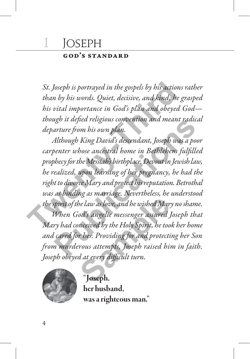# 1 JOSEPH

## god's standard

*St. Joseph is portrayed in the gospels by his actions rather than by his words. Quiet, decisive, and kind, he grasped his vital importance in God's plan and obeyed God though it defied religious convention and meant radical departure from his own plan.*

*Although King David's descendant, Joseph was a poor carpenter whose ancestral home in Bethlehem fulfilled prophecy for the Messiah's birthplace. Devout in Jewish law, he realized, upon learning of her pregnancy, he had the right to divorce Mary and protect his reputation. Betrothal was as binding as marriage. Nevertheless, he understood the spirit of the law as love, and he wished Mary no shame.* St. Joseph is portrayed in the gospels by his actions<br>than by his words. Quiet, decisive, and kind, he g<br>his vital importance in God's plan and obeyed (<br>though it defied religious convention and meant r<br>departure from his ugn it aepea religious convention ana meant raaical<br>arture from his own plan.<br>Although King David's descendant, Joseph was a poor<br>benter whose ancestral home in Bethlehem fulfilled<br>bhecy for the Messiah's birthplace. Devou

*When God's angelic messenger assured Joseph that Mary had conceived by the Holy Spirit, he took her home and cared for her. Providing for and protecting her Son from murderous attempts, Joseph raised him in faith. Joseph obeyed at every difficult turn.* be law as love, and he wished Mar<br>od's angelic messenger assured<br>neeived by the Holy Spirit, he too<br>r her. Providing for and protecti<br>rous attempts, Joseph raised his<br>d at every difficult turn.<br>**Soseph**,



"Joseph, her husband, was a righteous man."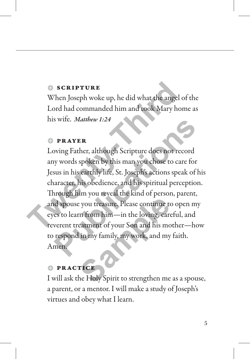#### $<sub>•</sub>$  scripture</sub>

When Joseph woke up, he did what the angel of the Lord had commanded him and took Mary home as his wife. *Matthew 1:24*

#### $P$  **PRAYER**

Loving Father, although Scripture does not record any words spoken by this man you chose to care for Jesus in his earthly life, St. Joseph's actions speak of his character, his obedience, and his spiritual perception. Through him you reveal the kind of person, parent, and spouse you treasure. Please continue to open my eyes to learn from him—in the loving, careful, and reverent treatment of your Son and his mother—how to respond in my family, my work, and my faith. Amen. **The SCRIPTURE**<br>
When Joseph woke up, he did what the angel c<br>
Lord had commanded him and took Mary hor<br>
his wife. *Matthew* 1:24<br> **DPRAYER**<br>
Loving Father, although Scripture does not rec<br>
any words spoken by this man you **PRAYER**<br> **PRAYER**<br>
bying Father, although Scripture does not record<br>
by words spoken by this man you chose to care for<br>
sus in his earthly life, St. Joseph's actions speak of hi<br>
aracter, his obedience, and his spiritual **Sample 19 Set of the Sample School Set of the Sample School Set of Set of the Sample School Set of the Sample School Set of the School Set of the School Set of the Holy Spirit to strengthen me** 

## $PRACTICE$

I will ask the Holy Spirit to strengthen me as a spouse, a parent, or a mentor. I will make a study of Joseph's virtues and obey what I learn.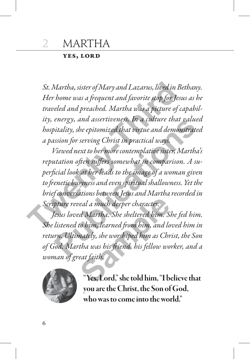### yes, lord

*St. Martha, sister of Mary and Lazarus, lived in Bethany. Her home was a frequent and favorite stop for Jesus as he traveled and preached. Martha was a picture of capability, energy, and assertiveness. In a culture that valued hospitality, she epitomized that virtue and demonstrated a passion for serving Christ in practical ways.* St. Martha, sister of Mary and Lazarus, lived in Be<br>Her home was a frequent and favorite stop for Jesu<br>traveled and preached. Martha was a picture of ca<br>ity, energy, and assertiveness. In a culture that<br>hospitality, she ep

*Viewed next to her more contemplative sister, Martha's reputation often suffers somewhat in comparison. A superficial look at her leads to the image of a woman given to frenetic busyness and even spiritual shallowness. Yet the brief conversations between Jesus and Martha recorded in Scripture reveal a much deeper character.* energy, and assertiveness. In a culture that valued<br>bitality, she epitomized that virtue and demonstrated<br>ission for serving Christ in practical ways.<br>Viewed next to her more contemplative sister, Martha's<br>utation often su

*Jesus loved Martha. She sheltered him. She fed him. She listened to him, learned from him, and loved him in return. Ultimately, she worshiped him as Christ, the Son of God. Martha was his friend, his fellow worker, and a woman of great faith.* real a much deeper character:<br>*d Martha. She sheltered him. S.*<br>to him, learned from him, and lo<br>nately, she worshiped him as Chr<br>tha was his friend, his fellow wo<br>eat faith,<br>**"Yes, Lord**," she told him, "I b



Yes, Lord," she told him, "I believe that you are the Christ, the Son of God, who was to come into the world."